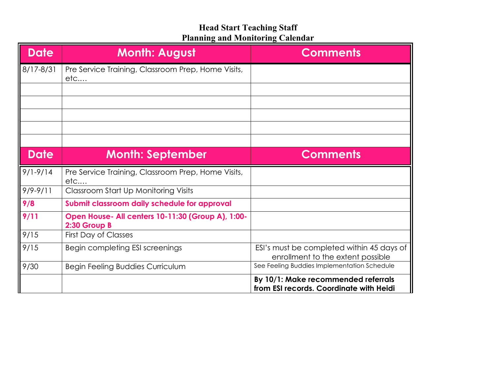| <b>Date</b>  | <b>Month: August</b>                                              | <b>Comments</b>                                                                |
|--------------|-------------------------------------------------------------------|--------------------------------------------------------------------------------|
| 8/17-8/31    | Pre Service Training, Classroom Prep, Home Visits,<br>etc         |                                                                                |
|              |                                                                   |                                                                                |
|              |                                                                   |                                                                                |
|              |                                                                   |                                                                                |
| <b>Date</b>  | <b>Month: September</b>                                           | <b>Comments</b>                                                                |
| $9/1 - 9/14$ | Pre Service Training, Classroom Prep, Home Visits,<br>etc         |                                                                                |
| $9/9 - 9/11$ | <b>Classroom Start Up Monitoring Visits</b>                       |                                                                                |
| 9/8          | Submit classroom daily schedule for approval                      |                                                                                |
| 9/11         | Open House- All centers 10-11:30 (Group A), 1:00-<br>2:30 Group B |                                                                                |
| 9/15         | <b>First Day of Classes</b>                                       |                                                                                |
| 9/15         | Begin completing ESI screenings                                   | ESI's must be completed within 45 days of<br>enrollment to the extent possible |
| 9/30         | Begin Feeling Buddies Curriculum                                  | See Feeling Buddies Implementation Schedule                                    |
|              |                                                                   | By 10/1: Make recommended referrals<br>from ESI records. Coordinate with Heidi |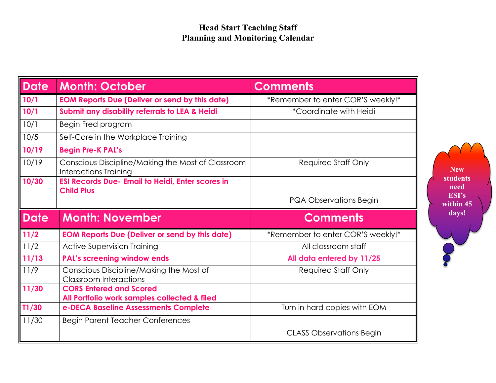| Date        | <b>Month: October</b>                                                                | <b>Comments</b>                   |
|-------------|--------------------------------------------------------------------------------------|-----------------------------------|
| 10/1        | <b>EOM Reports Due (Deliver or send by this date)</b>                                | *Remember to enter COR'S weekly!* |
| 10/1        | Submit any disability referrals to LEA & Heidi                                       | <i>*Coordinate with Heidi</i>     |
| 10/1        | Begin Fred program                                                                   |                                   |
| 10/5        | Self-Care in the Workplace Training                                                  |                                   |
| 10/19       | <b>Begin Pre-K PAL's</b>                                                             |                                   |
| 10/19       | Conscious Discipline/Making the Most of Classroom<br><b>Interactions Training</b>    | <b>Required Staff Only</b>        |
| 10/30       | <b>ESI Records Due- Email to Heidi, Enter scores in</b><br><b>Child Plus</b>         |                                   |
|             |                                                                                      | PQA Observations Begin            |
|             |                                                                                      |                                   |
| <b>Date</b> | <b>Month: November</b>                                                               | <b>Comments</b>                   |
| 11/2        | <b>EOM Reports Due (Deliver or send by this date)</b>                                | *Remember to enter COR'S weekly!* |
| 11/2        | <b>Active Supervision Training</b>                                                   | All classroom staff               |
| 11/13       | <b>PAL's screening window ends</b>                                                   | All data entered by 11/25         |
| 11/9        | Conscious Discipline/Making the Most of<br><b>Classroom Interactions</b>             | <b>Required Staff Only</b>        |
| 11/30       | <b>CORS Entered and Scored</b>                                                       |                                   |
| T1/30       | All Portfolio work samples collected & filed<br>e-DECA Baseline Assessments Complete | Turn in hard copies with EOM      |
| 11/30       | <b>Begin Parent Teacher Conferences</b>                                              |                                   |

**New students need ESI's within 45 days!**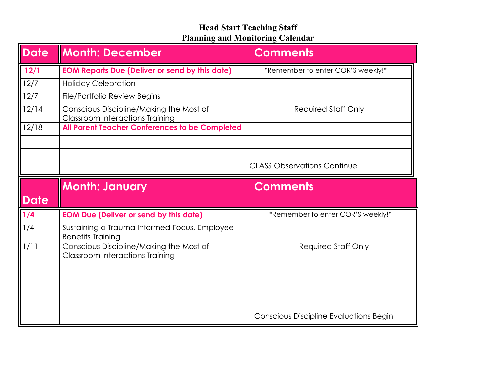| <b>Date</b> | <b>Month: December</b>                                                            | <b>Comments</b>                    |
|-------------|-----------------------------------------------------------------------------------|------------------------------------|
| 12/1        | <b>EOM Reports Due (Deliver or send by this date)</b>                             | *Remember to enter COR'S weekly!*  |
| 12/7        | <b>Holiday Celebration</b>                                                        |                                    |
| 12/7        | File/Portfolio Review Begins                                                      |                                    |
| 12/14       | Conscious Discipline/Making the Most of<br><b>Classroom Interactions Training</b> | <b>Required Staff Only</b>         |
| 12/18       | <b>All Parent Teacher Conferences to be Completed</b>                             |                                    |
|             |                                                                                   |                                    |
|             |                                                                                   |                                    |
|             |                                                                                   | <b>CLASS Observations Continue</b> |
|             |                                                                                   |                                    |
|             |                                                                                   |                                    |
| <b>Date</b> | <b>Month: January</b>                                                             | <b>Comments</b>                    |
| 1/4         | <b>EOM Due (Deliver or send by this date)</b>                                     | *Remember to enter COR'S weekly!*  |
| 1/4         | Sustaining a Trauma Informed Focus, Employee<br><b>Benefits Training</b>          |                                    |
| 1/11        | Conscious Discipline/Making the Most of<br><b>Classroom Interactions Training</b> | <b>Required Staff Only</b>         |
|             |                                                                                   |                                    |
|             |                                                                                   |                                    |
|             |                                                                                   |                                    |
|             |                                                                                   |                                    |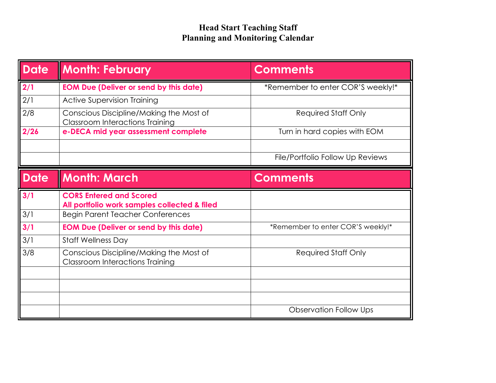| <b>Date</b> | <b>Month: February</b>                                                            | <b>Comments</b>                   |
|-------------|-----------------------------------------------------------------------------------|-----------------------------------|
| 2/1         | <b>EOM Due (Deliver or send by this date)</b>                                     | *Remember to enter COR'S weekly!* |
| 2/1         | <b>Active Supervision Training</b>                                                |                                   |
| 2/8         | Conscious Discipline/Making the Most of<br><b>Classroom Interactions Training</b> | <b>Required Staff Only</b>        |
| 2/26        | e-DECA mid year assessment complete                                               | Turn in hard copies with EOM      |
|             |                                                                                   |                                   |
|             |                                                                                   | File/Portfolio Follow Up Reviews  |
| <b>Date</b> | <b>Month: March</b>                                                               | <b>Comments</b>                   |
|             |                                                                                   |                                   |
| 3/1         | <b>CORS Entered and Scored</b><br>All portfolio work samples collected & filed    |                                   |
| 3/1         | <b>Begin Parent Teacher Conferences</b>                                           |                                   |
| 3/1         | <b>EOM Due (Deliver or send by this date)</b>                                     | *Remember to enter COR'S weekly!* |
| 3/1         | <b>Staff Wellness Day</b>                                                         |                                   |
| 3/8         | Conscious Discipline/Making the Most of<br><b>Classroom Interactions Training</b> | <b>Required Staff Only</b>        |
|             |                                                                                   |                                   |
|             |                                                                                   |                                   |
|             |                                                                                   |                                   |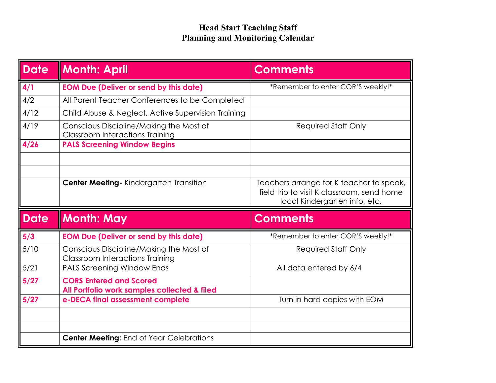| Date        | <b>Month: April</b>                                                               | <b>Comments</b>                                                                                                         |
|-------------|-----------------------------------------------------------------------------------|-------------------------------------------------------------------------------------------------------------------------|
| 4/1         | <b>EOM Due (Deliver or send by this date)</b>                                     | *Remember to enter COR'S weekly!*                                                                                       |
| 4/2         | All Parent Teacher Conferences to be Completed                                    |                                                                                                                         |
| 4/12        | Child Abuse & Neglect, Active Supervision Training                                |                                                                                                                         |
| 4/19        | Conscious Discipline/Making the Most of<br><b>Classroom Interactions Training</b> | <b>Required Staff Only</b>                                                                                              |
| 4/26        | <b>PALS Screening Window Begins</b>                                               |                                                                                                                         |
|             |                                                                                   |                                                                                                                         |
|             |                                                                                   |                                                                                                                         |
|             | Center Meeting - Kindergarten Transition                                          | Teachers arrange for K teacher to speak,<br>field trip to visit K classroom, send home<br>local Kindergarten info, etc. |
|             |                                                                                   |                                                                                                                         |
| <b>Date</b> | <b>Month: May</b>                                                                 | <b>Comments</b>                                                                                                         |
| 5/3         | <b>EOM Due (Deliver or send by this date)</b>                                     | *Remember to enter COR'S weekly!*                                                                                       |
| 5/10        | Conscious Discipline/Making the Most of<br><b>Classroom Interactions Training</b> | <b>Required Staff Only</b>                                                                                              |
| 5/21        | <b>PALS Screening Window Ends</b>                                                 | All data entered by 6/4                                                                                                 |
| 5/27        | <b>CORS Entered and Scored</b><br>All Portfolio work samples collected & filed    |                                                                                                                         |
| 5/27        | e-DECA final assessment complete                                                  | Turn in hard copies with EOM                                                                                            |
|             |                                                                                   |                                                                                                                         |
|             |                                                                                   |                                                                                                                         |